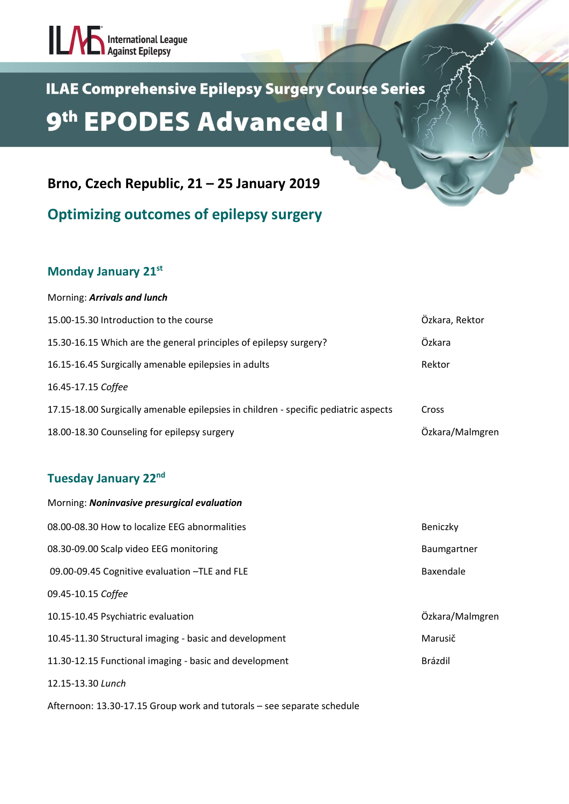## International League

### **ILAE Comprehensive Epilepsy Surgery Course Series** 9<sup>th</sup> EPODES Advanced I

**Brno, Czech Republic, 21 – 25 January 2019**

**Optimizing outcomes of epilepsy surgery**

#### **Monday January 21st**

### Morning: *Arrivals and lunch* 15.00-15.30 Introduction to the course Özkara, Rektor 15.30-16.15 Which are the general principles of epilepsy surgery? Özkara 16.15-16.45 Surgically amenable epilepsies in adults **Rektor** Rektor 16.45-17.15 *Coffee* 17.15-18.00 Surgically amenable epilepsies in children - specific pediatric aspects Cross 18.00-18.30 Counseling for epilepsy surgery Özkara/Malmgren

#### **Tuesday January 22nd**

| Morning: Noninvasive presurgical evaluation            |                 |
|--------------------------------------------------------|-----------------|
| 08.00-08.30 How to localize EEG abnormalities          | Beniczky        |
| 08.30-09.00 Scalp video EEG monitoring                 | Baumgartner     |
| 09.00-09.45 Cognitive evaluation -TLE and FLE          | Baxendale       |
| 09.45-10.15 Coffee                                     |                 |
| 10.15-10.45 Psychiatric evaluation                     | Özkara/Malmgren |
| 10.45-11.30 Structural imaging - basic and development | Marusič         |
| 11.30-12.15 Functional imaging - basic and development | Brázdil         |
| 12.15-13.30 Lunch                                      |                 |
|                                                        |                 |

Afternoon: 13.30-17.15 Group work and tutorals – see separate schedule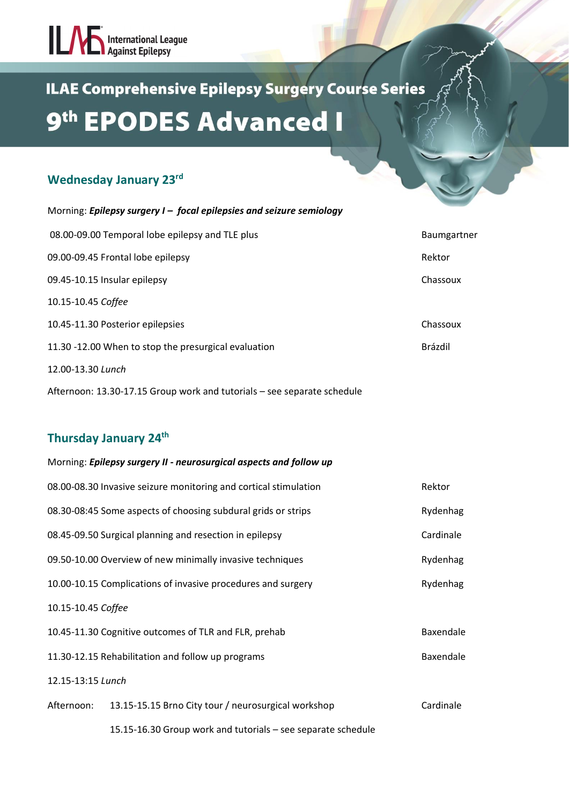# International League

## **ILAE Comprehensive Epilepsy Surgery Course Series** 9<sup>th</sup> EPODES Advanced I

#### **Wednesday January 23rd**

| Morning: Epilepsy surgery I - focal epilepsies and seizure semiology |                    |
|----------------------------------------------------------------------|--------------------|
| 08.00-09.00 Temporal lobe epilepsy and TLE plus                      | <b>Baumgartner</b> |
| 09.00-09.45 Frontal lobe epilepsy                                    | Rektor             |
| 09.45-10.15 Insular epilepsy                                         | Chassoux           |
| 10.15-10.45 Coffee                                                   |                    |
| 10.45-11.30 Posterior epilepsies                                     | Chassoux           |
| 11.30 -12.00 When to stop the presurgical evaluation                 | Brázdil            |
| 12.00-13.30 Lunch                                                    |                    |

Afternoon: 13.30-17.15 Group work and tutorials – see separate schedule

#### **Thursday January 24th**

|                    | Morning: Epilepsy surgery II - neurosurgical aspects and follow up |           |
|--------------------|--------------------------------------------------------------------|-----------|
|                    | 08.00-08.30 Invasive seizure monitoring and cortical stimulation   | Rektor    |
|                    | 08.30-08:45 Some aspects of choosing subdural grids or strips      | Rydenhag  |
|                    | 08.45-09.50 Surgical planning and resection in epilepsy            | Cardinale |
|                    | 09.50-10.00 Overview of new minimally invasive techniques          | Rydenhag  |
|                    | 10.00-10.15 Complications of invasive procedures and surgery       | Rydenhag  |
| 10.15-10.45 Coffee |                                                                    |           |
|                    | 10.45-11.30 Cognitive outcomes of TLR and FLR, prehab              | Baxendale |
|                    | 11.30-12.15 Rehabilitation and follow up programs                  | Baxendale |
| 12.15-13:15 Lunch  |                                                                    |           |
| Afternoon:         | 13.15-15.15 Brno City tour / neurosurgical workshop                | Cardinale |
|                    | 15.15-16.30 Group work and tutorials - see separate schedule       |           |